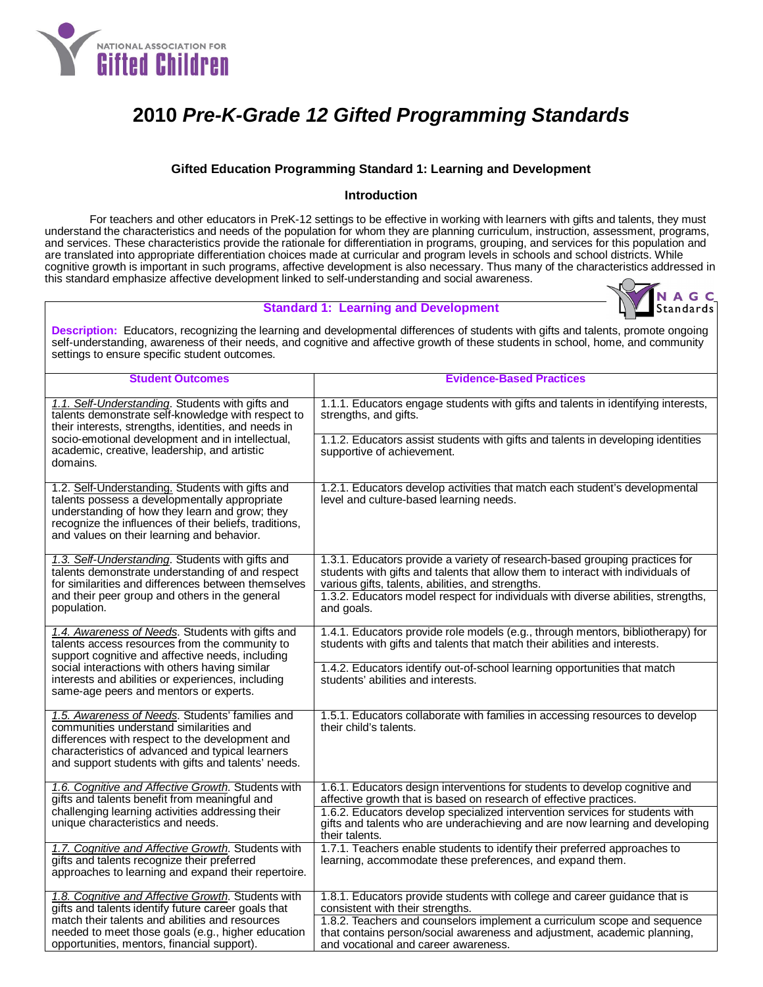

# **2010** *Pre-K-Grade 12 Gifted Programming Standards*

# **Gifted Education Programming Standard 1: Learning and Development**

### **Introduction**

For teachers and other educators in PreK-12 settings to be effective in working with learners with gifts and talents, they must understand the characteristics and needs of the population for whom they are planning curriculum, instruction, assessment, programs, and services. These characteristics provide the rationale for differentiation in programs, grouping, and services for this population and are translated into appropriate differentiation choices made at curricular and program levels in schools and school districts. While cognitive growth is important in such programs, affective development is also necessary. Thus many of the characteristics addressed in this standard emphasize affective development linked to self-understanding and social awareness.

#### **Standard 1: Learning and Development**



**Description:** Educators, recognizing the learning and developmental differences of students with gifts and talents, promote ongoing self-understanding, awareness of their needs, and cognitive and affective growth of these students in school, home, and community settings to ensure specific student outcomes.

| <b>Student Outcomes</b>                                                                                                                                                                                                                                                                                 | <b>Evidence-Based Practices</b>                                                                                                                                                                                     |
|---------------------------------------------------------------------------------------------------------------------------------------------------------------------------------------------------------------------------------------------------------------------------------------------------------|---------------------------------------------------------------------------------------------------------------------------------------------------------------------------------------------------------------------|
| 1.1. Self-Understanding. Students with gifts and<br>talents demonstrate self-knowledge with respect to<br>their interests, strengths, identities, and needs in<br>socio-emotional development and in intellectual,<br>academic, creative, leadership, and artistic<br>domains.                          | 1.1.1. Educators engage students with gifts and talents in identifying interests,<br>strengths, and gifts.                                                                                                          |
|                                                                                                                                                                                                                                                                                                         | 1.1.2. Educators assist students with gifts and talents in developing identities<br>supportive of achievement.                                                                                                      |
| 1.2. Self-Understanding. Students with gifts and<br>talents possess a developmentally appropriate<br>understanding of how they learn and grow; they<br>recognize the influences of their beliefs, traditions,<br>and values on their learning and behavior.                                             | 1.2.1. Educators develop activities that match each student's developmental<br>level and culture-based learning needs.                                                                                              |
| 1.3. Self-Understanding. Students with gifts and<br>talents demonstrate understanding of and respect<br>for similarities and differences between themselves<br>and their peer group and others in the general<br>population.                                                                            | 1.3.1. Educators provide a variety of research-based grouping practices for<br>students with gifts and talents that allow them to interact with individuals of<br>various gifts, talents, abilities, and strengths. |
|                                                                                                                                                                                                                                                                                                         | 1.3.2. Educators model respect for individuals with diverse abilities, strengths,<br>and goals.                                                                                                                     |
| 1.4. Awareness of Needs. Students with gifts and<br>talents access resources from the community to<br>support cognitive and affective needs, including<br>social interactions with others having similar<br>interests and abilities or experiences, including<br>same-age peers and mentors or experts. | 1.4.1. Educators provide role models (e.g., through mentors, bibliotherapy) for<br>students with gifts and talents that match their abilities and interests.                                                        |
|                                                                                                                                                                                                                                                                                                         | 1.4.2. Educators identify out-of-school learning opportunities that match<br>students' abilities and interests.                                                                                                     |
| 1.5. Awareness of Needs. Students' families and<br>communities understand similarities and<br>differences with respect to the development and<br>characteristics of advanced and typical learners<br>and support students with gifts and talents' needs.                                                | 1.5.1. Educators collaborate with families in accessing resources to develop<br>their child's talents.                                                                                                              |
| 1.6. Cognitive and Affective Growth. Students with<br>gifts and talents benefit from meaningful and<br>challenging learning activities addressing their<br>unique characteristics and needs.                                                                                                            | 1.6.1. Educators design interventions for students to develop cognitive and<br>affective growth that is based on research of effective practices.                                                                   |
|                                                                                                                                                                                                                                                                                                         | 1.6.2. Educators develop specialized intervention services for students with<br>gifts and talents who are underachieving and are now learning and developing<br>their talents.                                      |
| 1.7. Cognitive and Affective Growth. Students with<br>gifts and talents recognize their preferred<br>approaches to learning and expand their repertoire.                                                                                                                                                | 1.7.1. Teachers enable students to identify their preferred approaches to<br>learning, accommodate these preferences, and expand them.                                                                              |
| 1.8. Cognitive and Affective Growth. Students with<br>gifts and talents identify future career goals that                                                                                                                                                                                               | 1.8.1. Educators provide students with college and career guidance that is<br>consistent with their strengths.                                                                                                      |
| match their talents and abilities and resources<br>needed to meet those goals (e.g., higher education<br>opportunities, mentors, financial support).                                                                                                                                                    | 1.8.2. Teachers and counselors implement a curriculum scope and sequence<br>that contains person/social awareness and adjustment, academic planning,<br>and vocational and career awareness.                        |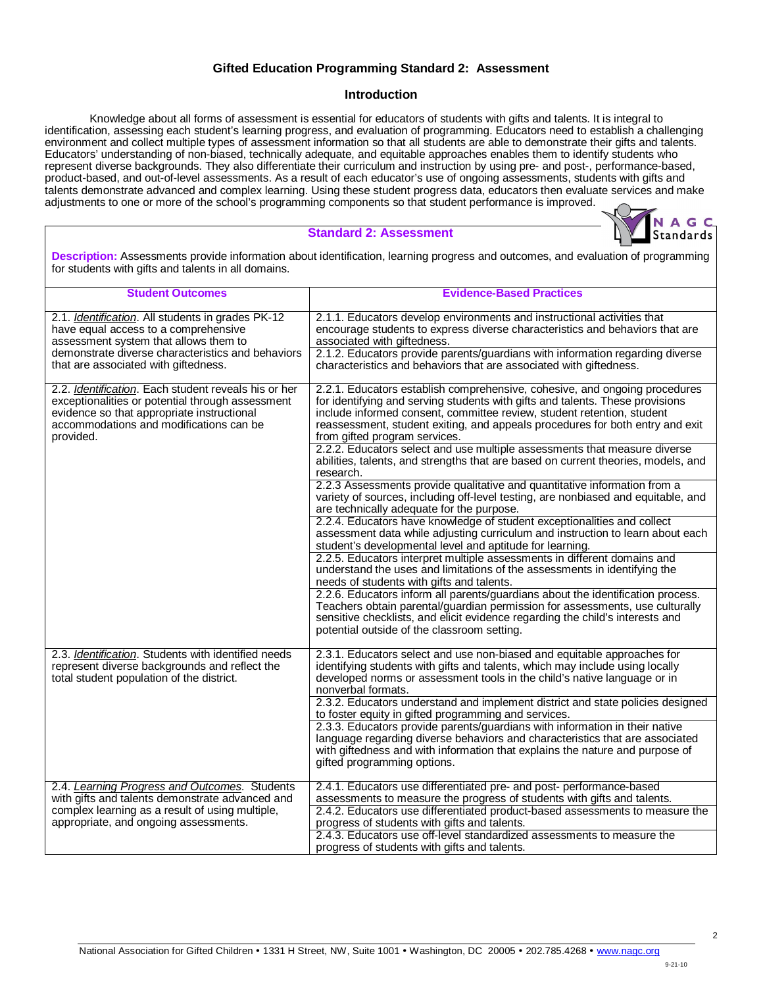# **Gifted Education Programming Standard 2: Assessment**

#### **Introduction**

Knowledge about all forms of assessment is essential for educators of students with gifts and talents. It is integral to identification, assessing each student's learning progress, and evaluation of programming. Educators need to establish a challenging environment and collect multiple types of assessment information so that all students are able to demonstrate their gifts and talents. Educators' understanding of non-biased, technically adequate, and equitable approaches enables them to identify students who represent diverse backgrounds. They also differentiate their curriculum and instruction by using pre- and post-, performance-based, product-based, and out-of-level assessments. As a result of each educator's use of ongoing assessments, students with gifts and talents demonstrate advanced and complex learning. Using these student progress data, educators then evaluate services and make adjustments to one or more of the school's programming components so that student performance is improved.



**Description:** Assessments provide information about identification, learning progress and outcomes, and evaluation of programming for students with gifts and talents in all domains.

**Standard 2: Assessment**

| <b>Student Outcomes</b>                                                                                                                                                                                        | <b>Evidence-Based Practices</b>                                                                                                                                                                                                                                                                                                                         |
|----------------------------------------------------------------------------------------------------------------------------------------------------------------------------------------------------------------|---------------------------------------------------------------------------------------------------------------------------------------------------------------------------------------------------------------------------------------------------------------------------------------------------------------------------------------------------------|
| 2.1. Identification. All students in grades PK-12<br>have equal access to a comprehensive<br>assessment system that allows them to                                                                             | 2.1.1. Educators develop environments and instructional activities that<br>encourage students to express diverse characteristics and behaviors that are<br>associated with giftedness.                                                                                                                                                                  |
| demonstrate diverse characteristics and behaviors<br>that are associated with giftedness.                                                                                                                      | 2.1.2. Educators provide parents/guardians with information regarding diverse<br>characteristics and behaviors that are associated with giftedness.                                                                                                                                                                                                     |
| 2.2. Identification. Each student reveals his or her<br>exceptionalities or potential through assessment<br>evidence so that appropriate instructional<br>accommodations and modifications can be<br>provided. | 2.2.1. Educators establish comprehensive, cohesive, and ongoing procedures<br>for identifying and serving students with gifts and talents. These provisions<br>include informed consent, committee review, student retention, student<br>reassessment, student exiting, and appeals procedures for both entry and exit<br>from gifted program services. |
|                                                                                                                                                                                                                | 2.2.2. Educators select and use multiple assessments that measure diverse<br>abilities, talents, and strengths that are based on current theories, models, and<br>research.                                                                                                                                                                             |
|                                                                                                                                                                                                                | 2.2.3 Assessments provide qualitative and quantitative information from a<br>variety of sources, including off-level testing, are nonbiased and equitable, and<br>are technically adequate for the purpose.                                                                                                                                             |
|                                                                                                                                                                                                                | 2.2.4. Educators have knowledge of student exceptionalities and collect<br>assessment data while adjusting curriculum and instruction to learn about each<br>student's developmental level and aptitude for learning.                                                                                                                                   |
|                                                                                                                                                                                                                | 2.2.5. Educators interpret multiple assessments in different domains and<br>understand the uses and limitations of the assessments in identifying the<br>needs of students with gifts and talents.                                                                                                                                                      |
|                                                                                                                                                                                                                | 2.2.6. Educators inform all parents/guardians about the identification process.<br>Teachers obtain parental/guardian permission for assessments, use culturally<br>sensitive checklists, and elicit evidence regarding the child's interests and<br>potential outside of the classroom setting.                                                         |
| 2.3. Identification. Students with identified needs<br>represent diverse backgrounds and reflect the<br>total student population of the district.                                                              | 2.3.1. Educators select and use non-biased and equitable approaches for<br>identifying students with gifts and talents, which may include using locally<br>developed norms or assessment tools in the child's native language or in<br>nonverbal formats.                                                                                               |
|                                                                                                                                                                                                                | 2.3.2. Educators understand and implement district and state policies designed<br>to foster equity in gifted programming and services.                                                                                                                                                                                                                  |
|                                                                                                                                                                                                                | 2.3.3. Educators provide parents/guardians with information in their native<br>language regarding diverse behaviors and characteristics that are associated<br>with giftedness and with information that explains the nature and purpose of<br>gifted programming options.                                                                              |
| 2.4. Learning Progress and Outcomes. Students<br>with gifts and talents demonstrate advanced and<br>complex learning as a result of using multiple,                                                            | 2.4.1. Educators use differentiated pre- and post- performance-based<br>assessments to measure the progress of students with gifts and talents.<br>2.4.2. Educators use differentiated product-based assessments to measure the                                                                                                                         |
| appropriate, and ongoing assessments.                                                                                                                                                                          | progress of students with gifts and talents.<br>2.4.3. Educators use off-level standardized assessments to measure the<br>progress of students with gifts and talents.                                                                                                                                                                                  |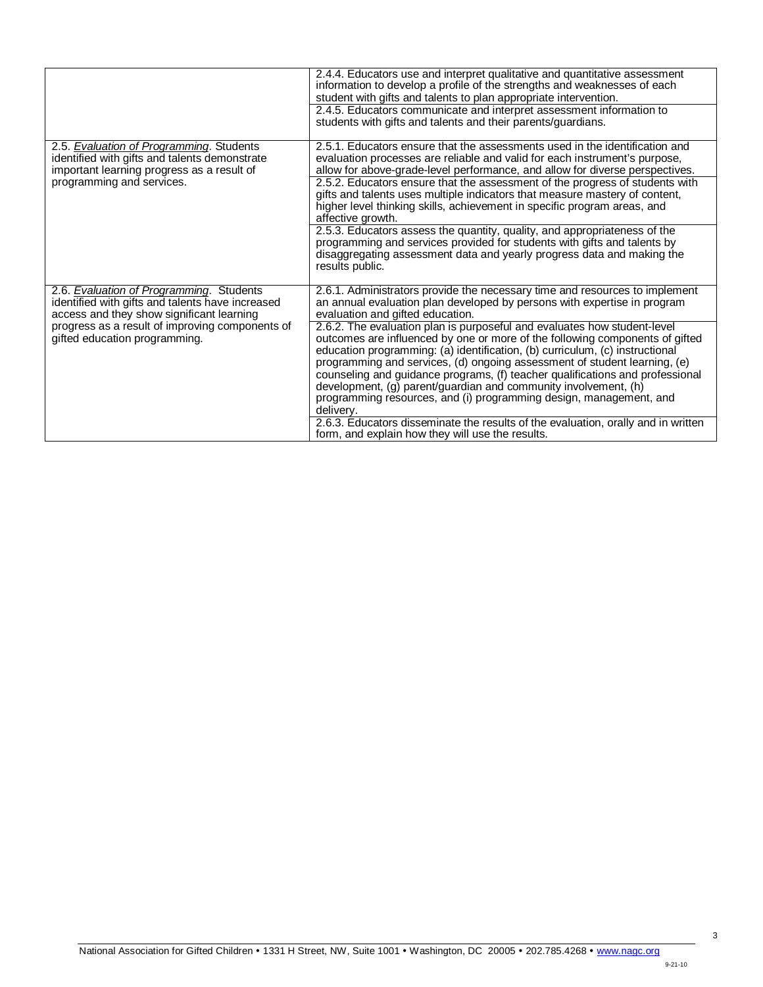|                                                                                                                                                                                                                               | 2.4.4. Educators use and interpret qualitative and quantitative assessment<br>information to develop a profile of the strengths and weaknesses of each<br>student with gifts and talents to plan appropriate intervention.<br>2.4.5. Educators communicate and interpret assessment information to<br>students with gifts and talents and their parents/guardians.                                                                                                                                                                                                                                                                                                                                                                                                                                                                                                                                   |
|-------------------------------------------------------------------------------------------------------------------------------------------------------------------------------------------------------------------------------|------------------------------------------------------------------------------------------------------------------------------------------------------------------------------------------------------------------------------------------------------------------------------------------------------------------------------------------------------------------------------------------------------------------------------------------------------------------------------------------------------------------------------------------------------------------------------------------------------------------------------------------------------------------------------------------------------------------------------------------------------------------------------------------------------------------------------------------------------------------------------------------------------|
| 2.5. Evaluation of Programming. Students<br>identified with gifts and talents demonstrate<br>important learning progress as a result of<br>programming and services.                                                          | 2.5.1. Educators ensure that the assessments used in the identification and<br>evaluation processes are reliable and valid for each instrument's purpose,<br>allow for above-grade-level performance, and allow for diverse perspectives.<br>2.5.2. Educators ensure that the assessment of the progress of students with<br>gifts and talents uses multiple indicators that measure mastery of content,<br>higher level thinking skills, achievement in specific program areas, and<br>affective growth.<br>2.5.3. Educators assess the quantity, quality, and appropriateness of the<br>programming and services provided for students with gifts and talents by<br>disaggregating assessment data and yearly progress data and making the<br>results public.                                                                                                                                      |
| 2.6. Evaluation of Programming. Students<br>identified with gifts and talents have increased<br>access and they show significant learning<br>progress as a result of improving components of<br>gifted education programming. | 2.6.1. Administrators provide the necessary time and resources to implement<br>an annual evaluation plan developed by persons with expertise in program<br>evaluation and gifted education.<br>2.6.2. The evaluation plan is purposeful and evaluates how student-level<br>outcomes are influenced by one or more of the following components of gifted<br>education programming: (a) identification, (b) curriculum, (c) instructional<br>programming and services, (d) ongoing assessment of student learning, (e)<br>counseling and guidance programs, (f) teacher qualifications and professional<br>development, (g) parent/guardian and community involvement, (h)<br>programming resources, and (i) programming design, management, and<br>delivery.<br>2.6.3. Educators disseminate the results of the evaluation, orally and in written<br>form, and explain how they will use the results. |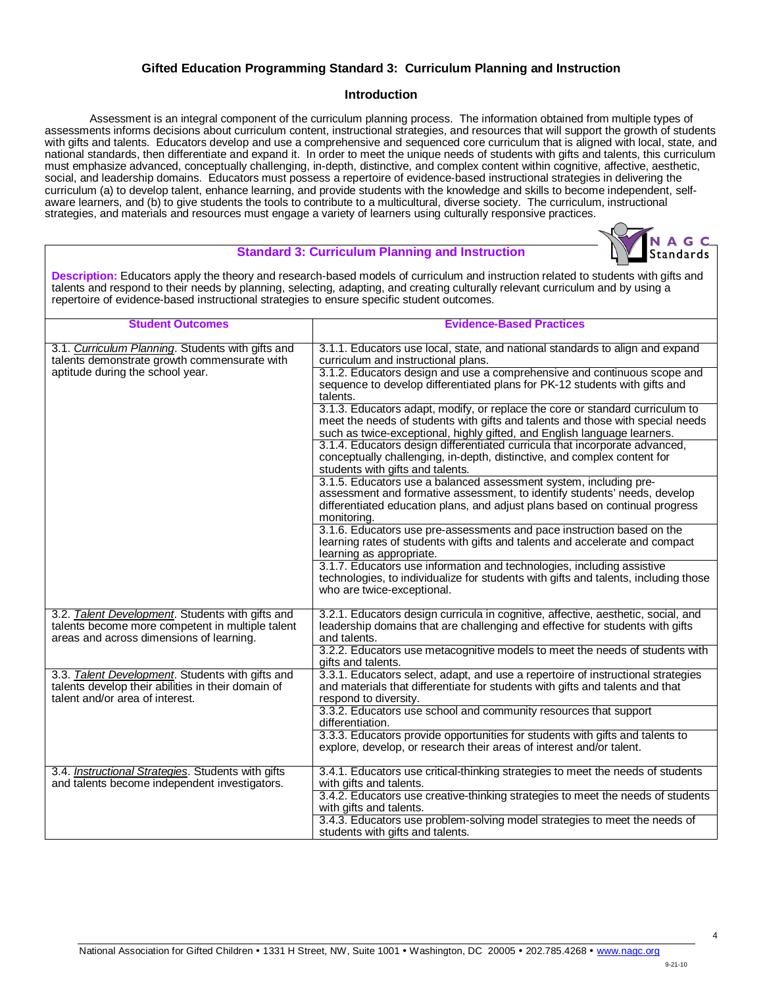# **Gifted Education Programming Standard 3: Curriculum Planning and Instruction**

### **Introduction**

Assessment is an integral component of the curriculum planning process. The information obtained from multiple types of assessments informs decisions about curriculum content, instructional strategies, and resources that will support the growth of students with gifts and talents. Educators develop and use a comprehensive and sequenced core curriculum that is aligned with local, state, and national standards, then differentiate and expand it. In order to meet the unique needs of students with gifts and talents, this curriculum must emphasize advanced, conceptually challenging, in-depth, distinctive, and complex content within cognitive, affective, aesthetic, social, and leadership domains. Educators must possess a repertoire of evidence-based instructional strategies in delivering the curriculum (a) to develop talent, enhance learning, and provide students with the knowledge and skills to become independent, selfaware learners, and (b) to give students the tools to contribute to a multicultural, diverse society. The curriculum, instructional strategies, and materials and resources must engage a variety of learners using culturally responsive practices.

# **Standard 3: Curriculum Planning and Instruction**



**Description:** Educators apply the theory and research-based models of curriculum and instruction related to students with gifts and talents and respond to their needs by planning, selecting, adapting, and creating culturally relevant curriculum and by using a repertoire of evidence-based instructional strategies to ensure specific student outcomes.

| <b>Student Outcomes</b>                                                                                                                          | <b>Evidence-Based Practices</b>                                                                                                                                                                                                               |
|--------------------------------------------------------------------------------------------------------------------------------------------------|-----------------------------------------------------------------------------------------------------------------------------------------------------------------------------------------------------------------------------------------------|
| 3.1. Curriculum Planning. Students with gifts and<br>talents demonstrate growth commensurate with<br>aptitude during the school year.            | 3.1.1. Educators use local, state, and national standards to align and expand<br>curriculum and instructional plans.                                                                                                                          |
|                                                                                                                                                  | 3.1.2. Educators design and use a comprehensive and continuous scope and<br>sequence to develop differentiated plans for PK-12 students with gifts and<br>talents.                                                                            |
|                                                                                                                                                  | 3.1.3. Educators adapt, modify, or replace the core or standard curriculum to<br>meet the needs of students with gifts and talents and those with special needs<br>such as twice-exceptional, highly gifted, and English language learners.   |
|                                                                                                                                                  | 3.1.4. Educators design differentiated curricula that incorporate advanced,<br>conceptually challenging, in-depth, distinctive, and complex content for<br>students with gifts and talents.                                                   |
|                                                                                                                                                  | 3.1.5. Educators use a balanced assessment system, including pre-<br>assessment and formative assessment, to identify students' needs, develop<br>differentiated education plans, and adjust plans based on continual progress<br>monitoring. |
|                                                                                                                                                  | 3.1.6. Educators use pre-assessments and pace instruction based on the<br>learning rates of students with gifts and talents and accelerate and compact<br>learning as appropriate.                                                            |
|                                                                                                                                                  | 3.1.7. Educators use information and technologies, including assistive<br>technologies, to individualize for students with gifts and talents, including those<br>who are twice-exceptional.                                                   |
| 3.2. Talent Development. Students with gifts and<br>talents become more competent in multiple talent<br>areas and across dimensions of learning. | 3.2.1. Educators design curricula in cognitive, affective, aesthetic, social, and<br>leadership domains that are challenging and effective for students with gifts<br>and talents.                                                            |
|                                                                                                                                                  | 3.2.2. Educators use metacognitive models to meet the needs of students with<br>gifts and talents.                                                                                                                                            |
| 3.3. Talent Development. Students with gifts and<br>talents develop their abilities in their domain of<br>talent and/or area of interest.        | 3.3.1. Educators select, adapt, and use a repertoire of instructional strategies<br>and materials that differentiate for students with gifts and talents and that<br>respond to diversity.                                                    |
|                                                                                                                                                  | 3.3.2. Educators use school and community resources that support<br>differentiation.                                                                                                                                                          |
|                                                                                                                                                  | 3.3.3. Educators provide opportunities for students with gifts and talents to<br>explore, develop, or research their areas of interest and/or talent.                                                                                         |
| 3.4. Instructional Strategies. Students with gifts<br>and talents become independent investigators.                                              | 3.4.1. Educators use critical-thinking strategies to meet the needs of students<br>with gifts and talents.                                                                                                                                    |
|                                                                                                                                                  | 3.4.2. Educators use creative-thinking strategies to meet the needs of students<br>with gifts and talents.                                                                                                                                    |
|                                                                                                                                                  | 3.4.3. Educators use problem-solving model strategies to meet the needs of<br>students with gifts and talents.                                                                                                                                |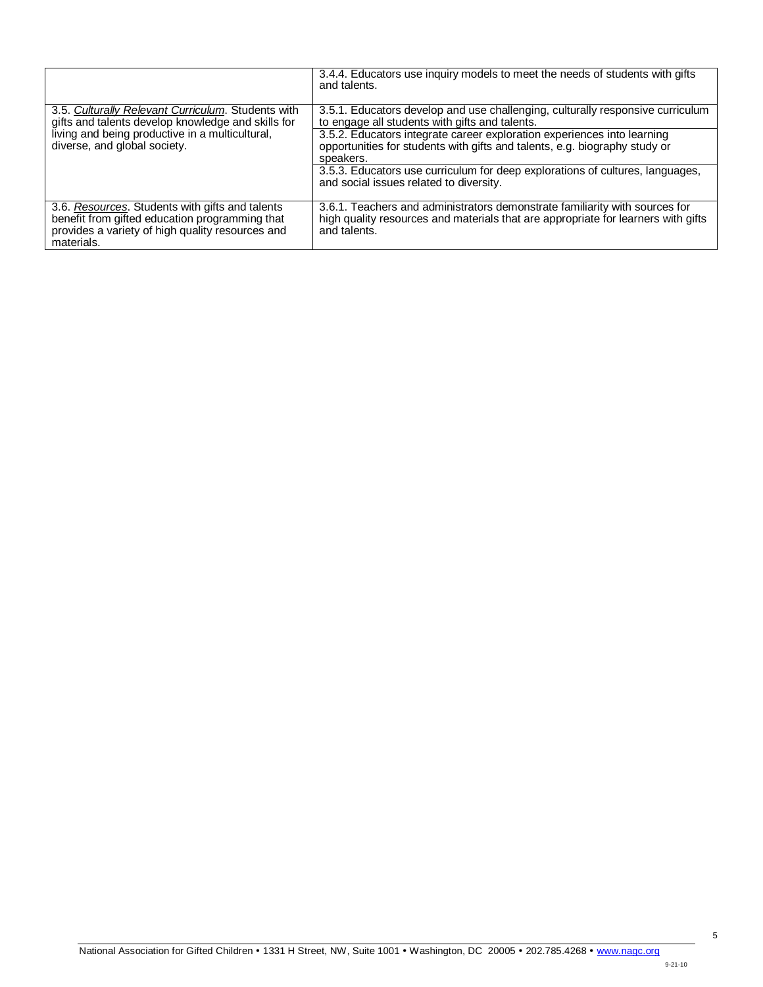|                                                                                                                                                                     | 3.4.4. Educators use inquiry models to meet the needs of students with gifts<br>and talents.                                                                                                                                                                                                   |
|---------------------------------------------------------------------------------------------------------------------------------------------------------------------|------------------------------------------------------------------------------------------------------------------------------------------------------------------------------------------------------------------------------------------------------------------------------------------------|
| 3.5. Culturally Relevant Curriculum. Students with<br>gifts and talents develop knowledge and skills for                                                            | 3.5.1. Educators develop and use challenging, culturally responsive curriculum<br>to engage all students with gifts and talents.                                                                                                                                                               |
| living and being productive in a multicultural,<br>diverse, and global society.                                                                                     | 3.5.2. Educators integrate career exploration experiences into learning<br>opportunities for students with gifts and talents, e.g. biography study or<br>speakers.<br>3.5.3. Educators use curriculum for deep explorations of cultures, languages,<br>and social issues related to diversity. |
|                                                                                                                                                                     |                                                                                                                                                                                                                                                                                                |
| 3.6. Resources. Students with gifts and talents<br>benefit from gifted education programming that<br>provides a variety of high quality resources and<br>materials. | 3.6.1. Teachers and administrators demonstrate familiarity with sources for<br>high quality resources and materials that are appropriate for learners with gifts<br>and talents.                                                                                                               |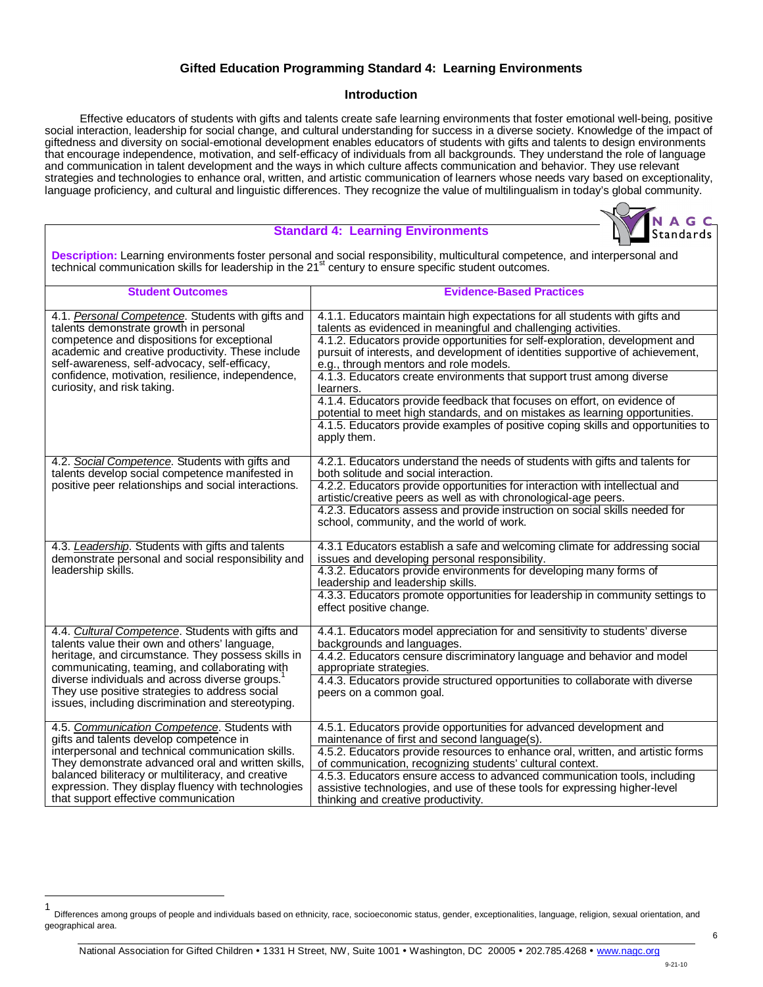# **Gifted Education Programming Standard 4: Learning Environments**

#### **Introduction**

Effective educators of students with gifts and talents create safe learning environments that foster emotional well-being, positive social interaction, leadership for social change, and cultural understanding for success in a diverse society. Knowledge of the impact of giftedness and diversity on social-emotional development enables educators of students with gifts and talents to design environments that encourage independence, motivation, and self-efficacy of individuals from all backgrounds. They understand the role of language and communication in talent development and the ways in which culture affects communication and behavior. They use relevant strategies and technologies to enhance oral, written, and artistic communication of learners whose needs vary based on exceptionality, language proficiency, and cultural and linguistic differences. They recognize the value of multilingualism in today's global community.

#### A G C **Standard 4: Learning Environments** tandards **Description:** Learning environments foster personal and social responsibility, multicultural competence, and interpersonal and technical communication skills for leadership in the 21<sup>st</sup> century to ensure specific student outcomes. **Student Outcomes Evidence-Based Practices** 4.1. *Personal Competence*. Students with gifts and 4.1.1. Educators maintain high expectations for all students with gifts and talents demonstrate growth in personal talents as evidenced in meaningful and challenging activities. competence and dispositions for exceptional 4.1.2. Educators provide opportunities for self-exploration, development and academic and creative productivity. These include pursuit of interests, and development of identities supportive of achievement, self-awareness, self-advocacy, self-efficacy, e.g., through mentors and role models. confidence, motivation, resilience, independence, 4.1.3. Educators create environments that support trust among diverse curiosity, and risk taking. learners. 4.1.4. Educators provide feedback that focuses on effort, on evidence of potential to meet high standards, and on mistakes as learning opportunities. 4.1.5. Educators provide examples of positive coping skills and opportunities to apply them. 4.2. *Social Competence*. Students with gifts and 4.2.1. Educators understand the needs of students with gifts and talents for talents develop social competence manifested in both solitude and social interaction. 4.2.2. Educators provide opportunities for interaction with intellectual and positive peer relationships and social interactions. artistic/creative peers as well as with chronological-age peers. 4.2.3. Educators assess and provide instruction on social skills needed for school, community, and the world of work. 4.3. *Leadership*. Students with gifts and talents 4.3.1 Educators establish a safe and welcoming climate for addressing social demonstrate personal and social responsibility and issues and developing personal responsibility. leadership skills. 4.3.2. Educators provide environments for developing many forms of leadership and leadership skills. 4.3.3. Educators promote opportunities for leadership in community settings to effect positive change. 4.4. *Cultural Competence*. Students with gifts and 4.4.1. Educators model appreciation for and sensitivity to students' diverse talents value their own and others' language, backgrounds and languages. heritage, and circumstance. They possess skills in 4.4.2. Educators censure discriminatory language and behavior and model communicating, teaming, and collaborating with appropriate strategies. diverse individuals and across diverse groups.<sup>1</sup> 4.4.3. Educators provide structured opportunities to collaborate with diverse They use positive strategies to address social peers on a common goal. issues, including discrimination and stereotyping. 4.5. *Communication Competence*. Students with 4.5.1. Educators provide opportunities for advanced development and gifts and talents develop competence in maintenance of first and second language(s). interpersonal and technical communication skills. 4.5.2. Educators provide resources to enhance oral, written, and artistic forms They demonstrate advanced oral and written skills, of communication, recognizing students' cultural context. balanced biliteracy or multiliteracy, and creative 4.5.3. Educators ensure access to advanced communication tools, including expression. They display fluency with technologies assistive technologies, and use of these tools for expressing higher-level that support effective communication thinking and creative productivity.

 $\overline{a}$ 

<sup>1</sup> Differences among groups of people and individuals based on ethnicity, race, socioeconomic status, gender, exceptionalities, language, religion, sexual orientation, and geographical area.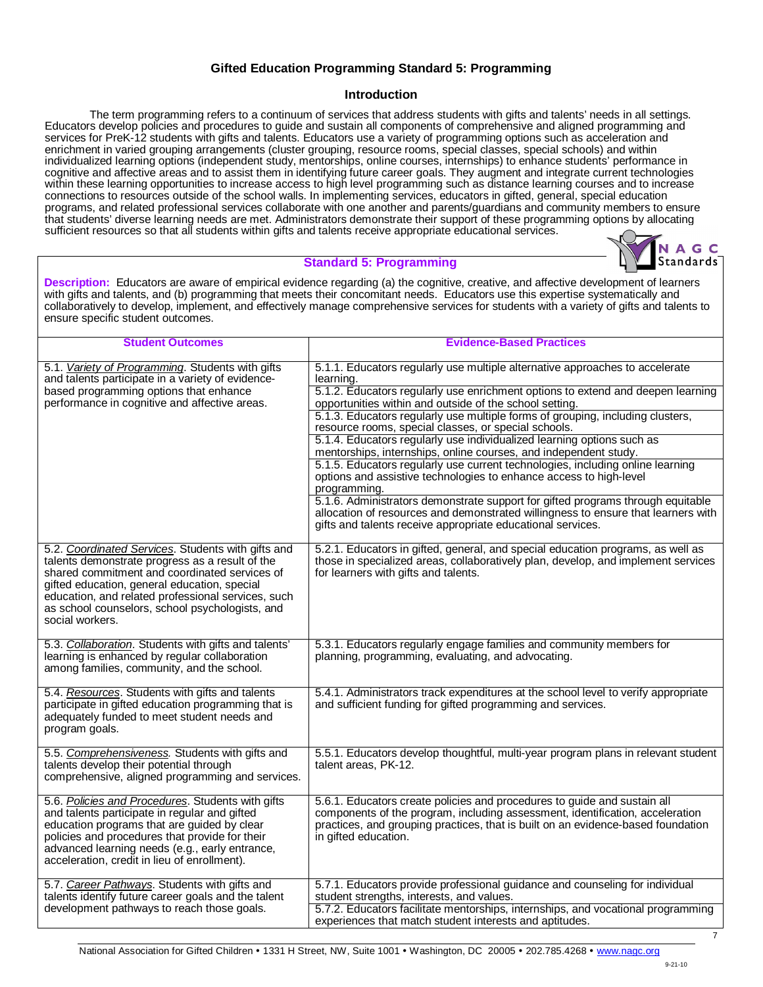# **Gifted Education Programming Standard 5: Programming**

#### **Introduction**

The term programming refers to a continuum of services that address students with gifts and talents' needs in all settings. Educators develop policies and procedures to guide and sustain all components of comprehensive and aligned programming and services for PreK-12 students with gifts and talents. Educators use a variety of programming options such as acceleration and enrichment in varied grouping arrangements (cluster grouping, resource rooms, special classes, special schools) and within individualized learning options (independent study, mentorships, online courses, internships) to enhance students' performance in cognitive and affective areas and to assist them in identifying future career goals. They augment and integrate current technologies within these learning opportunities to increase access to high level programming such as distance learning courses and to increase connections to resources outside of the school walls. In implementing services, educators in gifted, general, special education programs, and related professional services collaborate with one another and parents/guardians and community members to ensure that students' diverse learning needs are met. Administrators demonstrate their support of these programming options by allocating sufficient resources so that all students within gifts and talents receive appropriate educational services.



**Description:** Educators are aware of empirical evidence regarding (a) the cognitive, creative, and affective development of learners with gifts and talents, and (b) programming that meets their concomitant needs. Educators use this expertise systematically and collaboratively to develop, implement, and effectively manage comprehensive services for students with a variety of gifts and talents to ensure specific student outcomes.

**Standard 5: Programming**

| <b>Student Outcomes</b>                                                                                                                                                                                                                                                                                                            | <b>Evidence-Based Practices</b>                                                                                                                                                                                                                                          |
|------------------------------------------------------------------------------------------------------------------------------------------------------------------------------------------------------------------------------------------------------------------------------------------------------------------------------------|--------------------------------------------------------------------------------------------------------------------------------------------------------------------------------------------------------------------------------------------------------------------------|
| 5.1. Variety of Programming. Students with gifts<br>and talents participate in a variety of evidence-<br>based programming options that enhance<br>performance in cognitive and affective areas.                                                                                                                                   | 5.1.1. Educators regularly use multiple alternative approaches to accelerate<br>learning.<br>5.1.2. Educators regularly use enrichment options to extend and deepen learning<br>opportunities within and outside of the school setting.                                  |
|                                                                                                                                                                                                                                                                                                                                    | 5.1.3. Educators regularly use multiple forms of grouping, including clusters,<br>resource rooms, special classes, or special schools.                                                                                                                                   |
|                                                                                                                                                                                                                                                                                                                                    | 5.1.4. Educators regularly use individualized learning options such as<br>mentorships, internships, online courses, and independent study.                                                                                                                               |
|                                                                                                                                                                                                                                                                                                                                    | 5.1.5. Educators regularly use current technologies, including online learning<br>options and assistive technologies to enhance access to high-level<br>programming.                                                                                                     |
|                                                                                                                                                                                                                                                                                                                                    | 5.1.6. Administrators demonstrate support for gifted programs through equitable<br>allocation of resources and demonstrated willingness to ensure that learners with<br>gifts and talents receive appropriate educational services.                                      |
| 5.2. Coordinated Services. Students with gifts and<br>talents demonstrate progress as a result of the<br>shared commitment and coordinated services of<br>gifted education, general education, special<br>education, and related professional services, such<br>as school counselors, school psychologists, and<br>social workers. | 5.2.1. Educators in gifted, general, and special education programs, as well as<br>those in specialized areas, collaboratively plan, develop, and implement services<br>for learners with gifts and talents.                                                             |
| 5.3. Collaboration. Students with gifts and talents'<br>learning is enhanced by regular collaboration<br>among families, community, and the school.                                                                                                                                                                                | 5.3.1. Educators regularly engage families and community members for<br>planning, programming, evaluating, and advocating.                                                                                                                                               |
| 5.4. Resources. Students with gifts and talents<br>participate in gifted education programming that is<br>adequately funded to meet student needs and<br>program goals.                                                                                                                                                            | 5.4.1. Administrators track expenditures at the school level to verify appropriate<br>and sufficient funding for gifted programming and services.                                                                                                                        |
| 5.5. Comprehensiveness. Students with gifts and<br>talents develop their potential through<br>comprehensive, aligned programming and services.                                                                                                                                                                                     | 5.5.1. Educators develop thoughtful, multi-year program plans in relevant student<br>talent areas, PK-12.                                                                                                                                                                |
| 5.6. Policies and Procedures. Students with gifts<br>and talents participate in regular and gifted<br>education programs that are guided by clear<br>policies and procedures that provide for their<br>advanced learning needs (e.g., early entrance,<br>acceleration, credit in lieu of enrollment).                              | 5.6.1. Educators create policies and procedures to guide and sustain all<br>components of the program, including assessment, identification, acceleration<br>practices, and grouping practices, that is built on an evidence-based foundation<br>in gifted education.    |
| 5.7. Career Pathways. Students with gifts and<br>talents identify future career goals and the talent<br>development pathways to reach those goals.                                                                                                                                                                                 | 5.7.1. Educators provide professional guidance and counseling for individual<br>student strengths, interests, and values.<br>5.7.2. Educators facilitate mentorships, internships, and vocational programming<br>experiences that match student interests and aptitudes. |